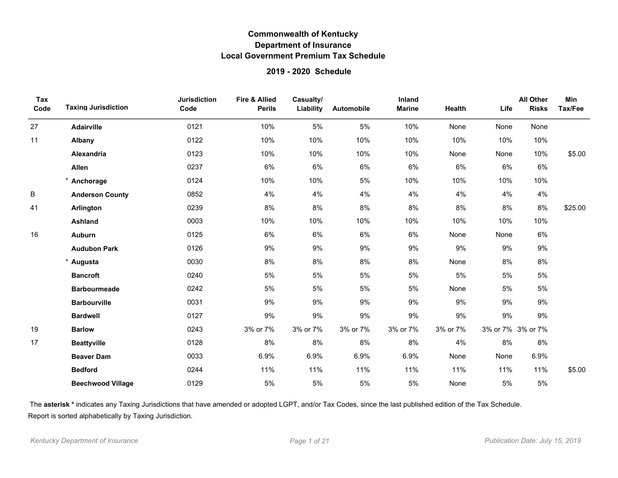### **2019 - 2020 Schedule**

| Tax<br>Code | <b>Taxing Jurisdiction</b> | <b>Jurisdiction</b><br>Code | <b>Fire &amp; Allied</b><br><b>Perils</b> | Casualty/<br>Liability | Automobile | Inland<br><b>Marine</b> | Health   | Life              | <b>All Other</b><br><b>Risks</b> | <b>Min</b><br>Tax/Fee |
|-------------|----------------------------|-----------------------------|-------------------------------------------|------------------------|------------|-------------------------|----------|-------------------|----------------------------------|-----------------------|
| 27          | Adairville                 | 0121                        | 10%                                       | 5%                     | 5%         | 10%                     | None     | None              | None                             |                       |
| 11          | Albany                     | 0122                        | 10%                                       | 10%                    | 10%        | 10%                     | 10%      | 10%               | 10%                              |                       |
|             | Alexandria                 | 0123                        | 10%                                       | 10%                    | 10%        | 10%                     | None     | None              | 10%                              | \$5.00                |
|             | Allen                      | 0237                        | 6%                                        | 6%                     | $6\%$      | 6%                      | 6%       | 6%                | 6%                               |                       |
|             | Anchorage                  | 0124                        | 10%                                       | 10%                    | 5%         | 10%                     | 10%      | 10%               | 10%                              |                       |
| B           | <b>Anderson County</b>     | 0852                        | 4%                                        | 4%                     | 4%         | 4%                      | 4%       | 4%                | 4%                               |                       |
| 41          | Arlington                  | 0239                        | 8%                                        | 8%                     | 8%         | 8%                      | 8%       | 8%                | 8%                               | \$25.00               |
|             | Ashland                    | 0003                        | 10%                                       | 10%                    | 10%        | 10%                     | 10%      | 10%               | 10%                              |                       |
| 16          | <b>Auburn</b>              | 0125                        | 6%                                        | 6%                     | 6%         | 6%                      | None     | None              | 6%                               |                       |
|             | <b>Audubon Park</b>        | 0126                        | 9%                                        | 9%                     | 9%         | 9%                      | 9%       | 9%                | 9%                               |                       |
|             | Augusta                    | 0030                        | 8%                                        | 8%                     | 8%         | 8%                      | None     | 8%                | 8%                               |                       |
|             | <b>Bancroft</b>            | 0240                        | 5%                                        | $5\%$                  | 5%         | 5%                      | 5%       | 5%                | $5\%$                            |                       |
|             | <b>Barbourmeade</b>        | 0242                        | 5%                                        | $5\%$                  | 5%         | 5%                      | None     | 5%                | 5%                               |                       |
|             | <b>Barbourville</b>        | 0031                        | 9%                                        | 9%                     | 9%         | 9%                      | 9%       | 9%                | 9%                               |                       |
|             | <b>Bardwell</b>            | 0127                        | 9%                                        | 9%                     | 9%         | 9%                      | 9%       | 9%                | 9%                               |                       |
| 19          | <b>Barlow</b>              | 0243                        | 3% or 7%                                  | 3% or 7%               | 3% or 7%   | 3% or 7%                | 3% or 7% | 3% or 7% 3% or 7% |                                  |                       |
| 17          | <b>Beattyville</b>         | 0128                        | 8%                                        | 8%                     | 8%         | 8%                      | 4%       | 8%                | 8%                               |                       |
|             | <b>Beaver Dam</b>          | 0033                        | 6.9%                                      | 6.9%                   | 6.9%       | 6.9%                    | None     | None              | 6.9%                             |                       |
|             | <b>Bedford</b>             | 0244                        | 11%                                       | 11%                    | 11%        | 11%                     | 11%      | 11%               | 11%                              | \$5.00                |
|             | <b>Beechwood Village</b>   | 0129                        | 5%                                        | $5\%$                  | 5%         | 5%                      | None     | 5%                | $5\%$                            |                       |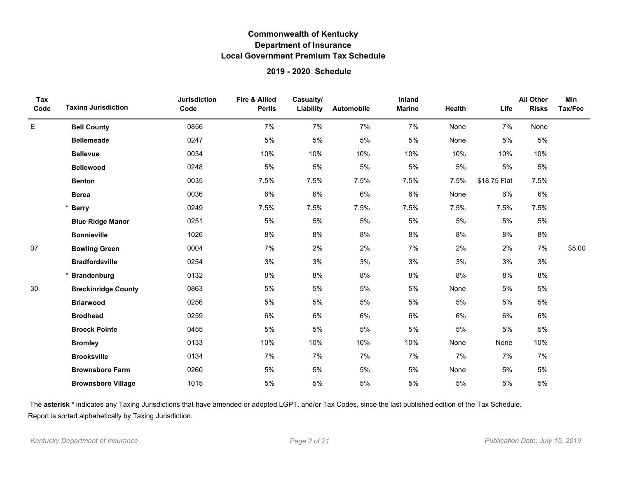### **2019 - 2020 Schedule**

| Tax<br>Code | <b>Taxing Jurisdiction</b> | <b>Jurisdiction</b><br>Code | Fire & Allied<br><b>Perils</b> | Casualty/<br>Liability | Automobile | Inland<br><b>Marine</b> | Health | Life         | <b>All Other</b><br><b>Risks</b> | Min<br>Tax/Fee |
|-------------|----------------------------|-----------------------------|--------------------------------|------------------------|------------|-------------------------|--------|--------------|----------------------------------|----------------|
| E           | <b>Bell County</b>         | 0856                        | 7%                             | 7%                     | 7%         | 7%                      | None   | 7%           | None                             |                |
|             | <b>Bellemeade</b>          | 0247                        | 5%                             | $5\%$                  | $5\%$      | 5%                      | None   | 5%           | 5%                               |                |
|             | <b>Bellevue</b>            | 0034                        | 10%                            | 10%                    | 10%        | 10%                     | 10%    | 10%          | 10%                              |                |
|             | <b>Bellewood</b>           | 0248                        | 5%                             | 5%                     | 5%         | $5%$                    | 5%     | 5%           | 5%                               |                |
|             | <b>Benton</b>              | 0035                        | 7.5%                           | 7.5%                   | 7.5%       | 7.5%                    | 7.5%   | \$18.75 Flat | 7.5%                             |                |
|             | <b>Berea</b>               | 0036                        | 6%                             | 6%                     | 6%         | 6%                      | None   | 6%           | 6%                               |                |
|             | * Berry                    | 0249                        | 7.5%                           | 7.5%                   | 7.5%       | 7.5%                    | 7.5%   | 7.5%         | 7.5%                             |                |
|             | <b>Blue Ridge Manor</b>    | 0251                        | 5%                             | $5\%$                  | $5\%$      | 5%                      | 5%     | $5\%$        | $5\%$                            |                |
|             | <b>Bonnieville</b>         | 1026                        | 8%                             | 8%                     | 8%         | 8%                      | 8%     | 8%           | 8%                               |                |
| 07          | <b>Bowling Green</b>       | 0004                        | 7%                             | 2%                     | 2%         | 7%                      | 2%     | 2%           | 7%                               | \$5.00         |
|             | <b>Bradfordsville</b>      | 0254                        | 3%                             | 3%                     | 3%         | 3%                      | 3%     | 3%           | 3%                               |                |
|             | <b>Brandenburg</b>         | 0132                        | 8%                             | 8%                     | 8%         | 8%                      | 8%     | 8%           | 8%                               |                |
| 30          | <b>Breckinridge County</b> | 0863                        | 5%                             | $5\%$                  | $5\%$      | 5%                      | None   | 5%           | $5\%$                            |                |
|             | <b>Briarwood</b>           | 0256                        | 5%                             | $5\%$                  | $5\%$      | 5%                      | 5%     | 5%           | 5%                               |                |
|             | <b>Brodhead</b>            | 0259                        | 6%                             | 6%                     | 6%         | 6%                      | 6%     | 6%           | 6%                               |                |
|             | <b>Broeck Pointe</b>       | 0455                        | 5%                             | $5\%$                  | 5%         | $5%$                    | 5%     | 5%           | $5\%$                            |                |
|             | <b>Bromley</b>             | 0133                        | 10%                            | 10%                    | 10%        | 10%                     | None   | None         | 10%                              |                |
|             | <b>Brooksville</b>         | 0134                        | 7%                             | 7%                     | 7%         | 7%                      | 7%     | 7%           | 7%                               |                |
|             | <b>Brownsboro Farm</b>     | 0260                        | 5%                             | $5\%$                  | 5%         | $5%$                    | None   | 5%           | 5%                               |                |
|             | <b>Brownsboro Village</b>  | 1015                        | 5%                             | 5%                     | 5%         | 5%                      | 5%     | 5%           | 5%                               |                |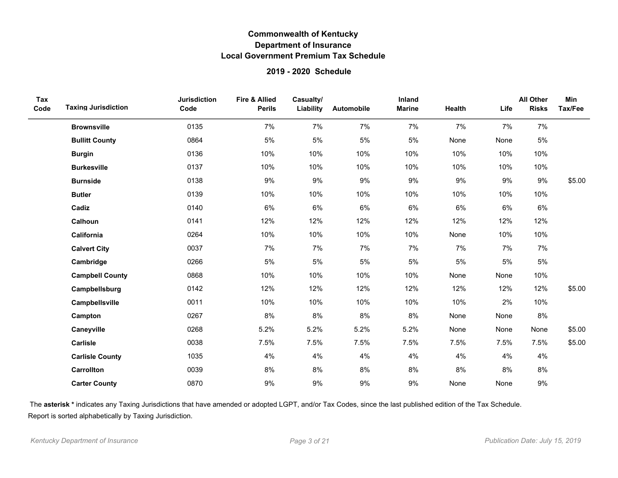### **2019 - 2020 Schedule**

| Tax<br>Code | <b>Taxing Jurisdiction</b> | <b>Jurisdiction</b><br>Code | <b>Fire &amp; Allied</b><br><b>Perils</b> | Casualty/<br>Liability | Automobile | <b>Inland</b><br><b>Marine</b> | <b>Health</b> | Life | <b>All Other</b><br><b>Risks</b> | Min<br>Tax/Fee |
|-------------|----------------------------|-----------------------------|-------------------------------------------|------------------------|------------|--------------------------------|---------------|------|----------------------------------|----------------|
|             | <b>Brownsville</b>         | 0135                        | 7%                                        | 7%                     | 7%         | 7%                             | 7%            | 7%   | 7%                               |                |
|             | <b>Bullitt County</b>      | 0864                        | $5\%$                                     | 5%                     | 5%         | 5%                             | None          | None | 5%                               |                |
|             | <b>Burgin</b>              | 0136                        | 10%                                       | 10%                    | 10%        | 10%                            | 10%           | 10%  | 10%                              |                |
|             | <b>Burkesville</b>         | 0137                        | 10%                                       | 10%                    | 10%        | 10%                            | 10%           | 10%  | 10%                              |                |
|             | <b>Burnside</b>            | 0138                        | 9%                                        | 9%                     | 9%         | 9%                             | 9%            | 9%   | 9%                               | \$5.00         |
|             | <b>Butler</b>              | 0139                        | 10%                                       | 10%                    | 10%        | 10%                            | 10%           | 10%  | 10%                              |                |
|             | Cadiz                      | 0140                        | 6%                                        | 6%                     | 6%         | 6%                             | 6%            | 6%   | 6%                               |                |
|             | Calhoun                    | 0141                        | 12%                                       | 12%                    | 12%        | 12%                            | 12%           | 12%  | 12%                              |                |
|             | California                 | 0264                        | 10%                                       | 10%                    | 10%        | 10%                            | None          | 10%  | 10%                              |                |
|             | <b>Calvert City</b>        | 0037                        | 7%                                        | 7%                     | 7%         | 7%                             | 7%            | 7%   | 7%                               |                |
|             | Cambridge                  | 0266                        | 5%                                        | 5%                     | 5%         | 5%                             | 5%            | 5%   | $5\%$                            |                |
|             | <b>Campbell County</b>     | 0868                        | 10%                                       | 10%                    | 10%        | 10%                            | None          | None | 10%                              |                |
|             | Campbellsburg              | 0142                        | 12%                                       | 12%                    | 12%        | 12%                            | 12%           | 12%  | 12%                              | \$5.00         |
|             | Campbellsville             | 0011                        | 10%                                       | 10%                    | 10%        | 10%                            | 10%           | 2%   | 10%                              |                |
|             | Campton                    | 0267                        | 8%                                        | 8%                     | 8%         | 8%                             | None          | None | 8%                               |                |
|             | Caneyville                 | 0268                        | 5.2%                                      | 5.2%                   | 5.2%       | 5.2%                           | None          | None | None                             | \$5.00         |
|             | Carlisle                   | 0038                        | 7.5%                                      | 7.5%                   | 7.5%       | 7.5%                           | 7.5%          | 7.5% | 7.5%                             | \$5.00         |
|             | <b>Carlisle County</b>     | 1035                        | 4%                                        | 4%                     | 4%         | 4%                             | 4%            | 4%   | 4%                               |                |
|             | Carrollton                 | 0039                        | 8%                                        | 8%                     | 8%         | 8%                             | $8\%$         | 8%   | 8%                               |                |
|             | <b>Carter County</b>       | 0870                        | 9%                                        | 9%                     | 9%         | 9%                             | None          | None | 9%                               |                |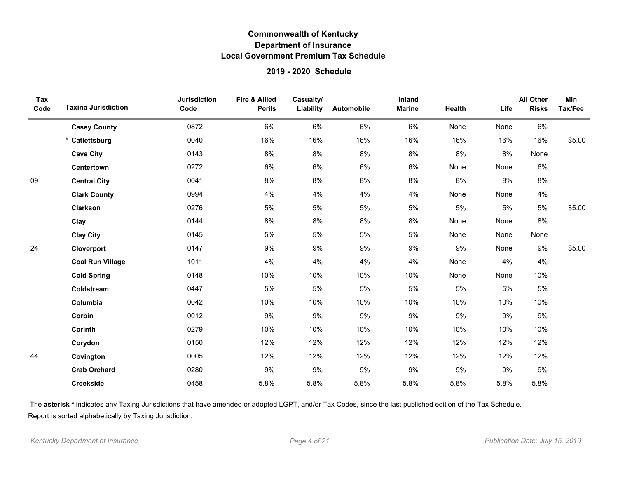### **2019 - 2020 Schedule**

| Tax<br>Code | <b>Taxing Jurisdiction</b> | <b>Jurisdiction</b><br>Code | <b>Fire &amp; Allied</b><br><b>Perils</b> | Casualty/<br>Liability | Automobile | Inland<br><b>Marine</b> | Health | Life  | <b>All Other</b><br><b>Risks</b> | Min<br>Tax/Fee |
|-------------|----------------------------|-----------------------------|-------------------------------------------|------------------------|------------|-------------------------|--------|-------|----------------------------------|----------------|
|             | <b>Casey County</b>        | 0872                        | 6%                                        | 6%                     | 6%         | 6%                      | None   | None  | 6%                               |                |
|             | * Catlettsburg             | 0040                        | 16%                                       | 16%                    | 16%        | 16%                     | 16%    | 16%   | 16%                              | \$5.00         |
|             | <b>Cave City</b>           | 0143                        | 8%                                        | 8%                     | 8%         | 8%                      | 8%     | 8%    | None                             |                |
|             | Centertown                 | 0272                        | 6%                                        | 6%                     | 6%         | 6%                      | None   | None  | 6%                               |                |
| 09          | <b>Central City</b>        | 0041                        | 8%                                        | 8%                     | 8%         | 8%                      | 8%     | 8%    | 8%                               |                |
|             | <b>Clark County</b>        | 0994                        | 4%                                        | 4%                     | 4%         | 4%                      | None   | None  | 4%                               |                |
|             | Clarkson                   | 0276                        | 5%                                        | 5%                     | 5%         | 5%                      | 5%     | 5%    | 5%                               | \$5.00         |
|             | Clay                       | 0144                        | 8%                                        | 8%                     | $8\%$      | 8%                      | None   | None  | 8%                               |                |
|             | <b>Clay City</b>           | 0145                        | 5%                                        | 5%                     | 5%         | 5%                      | None   | None  | None                             |                |
| 24          | Cloverport                 | 0147                        | 9%                                        | 9%                     | 9%         | 9%                      | 9%     | None  | 9%                               | \$5.00         |
|             | <b>Coal Run Village</b>    | 1011                        | 4%                                        | 4%                     | 4%         | 4%                      | None   | 4%    | 4%                               |                |
|             | <b>Cold Spring</b>         | 0148                        | 10%                                       | 10%                    | 10%        | 10%                     | None   | None  | 10%                              |                |
|             | Coldstream                 | 0447                        | $5\%$                                     | $5\%$                  | 5%         | $5\%$                   | $5\%$  | $5\%$ | $5\%$                            |                |
|             | Columbia                   | 0042                        | 10%                                       | 10%                    | 10%        | 10%                     | 10%    | 10%   | 10%                              |                |
|             | Corbin                     | 0012                        | 9%                                        | 9%                     | 9%         | 9%                      | 9%     | 9%    | 9%                               |                |
|             | Corinth                    | 0279                        | 10%                                       | 10%                    | 10%        | 10%                     | 10%    | 10%   | 10%                              |                |
|             | Corydon                    | 0150                        | 12%                                       | 12%                    | 12%        | 12%                     | 12%    | 12%   | 12%                              |                |
| 44          | Covington                  | 0005                        | 12%                                       | 12%                    | 12%        | 12%                     | 12%    | 12%   | 12%                              |                |
|             | <b>Crab Orchard</b>        | 0280                        | 9%                                        | 9%                     | 9%         | 9%                      | 9%     | 9%    | $9\%$                            |                |
|             | <b>Creekside</b>           | 0458                        | 5.8%                                      | 5.8%                   | 5.8%       | 5.8%                    | 5.8%   | 5.8%  | 5.8%                             |                |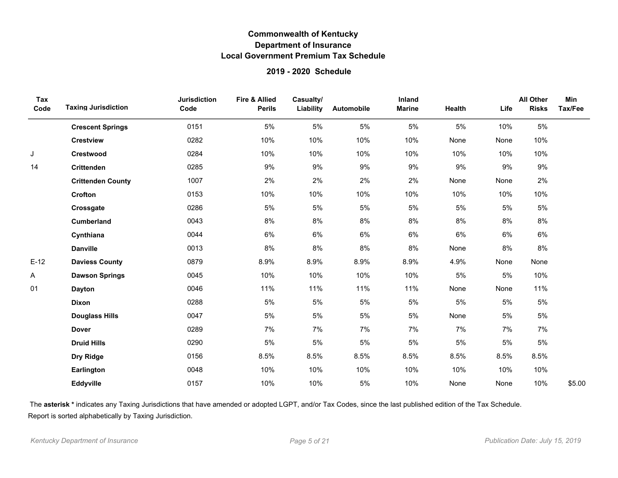### **2019 - 2020 Schedule**

| Tax<br>Code | <b>Taxing Jurisdiction</b> | <b>Jurisdiction</b><br>Code | <b>Fire &amp; Allied</b><br><b>Perils</b> | Casualty/<br>Liability | Automobile | Inland<br><b>Marine</b> | Health | Life | <b>All Other</b><br><b>Risks</b> | <b>Min</b><br>Tax/Fee |
|-------------|----------------------------|-----------------------------|-------------------------------------------|------------------------|------------|-------------------------|--------|------|----------------------------------|-----------------------|
|             | <b>Crescent Springs</b>    | 0151                        | 5%                                        | 5%                     | 5%         | 5%                      | 5%     | 10%  | 5%                               |                       |
|             | <b>Crestview</b>           | 0282                        | 10%                                       | 10%                    | 10%        | 10%                     | None   | None | 10%                              |                       |
| J           | Crestwood                  | 0284                        | 10%                                       | 10%                    | 10%        | 10%                     | 10%    | 10%  | 10%                              |                       |
| 14          | <b>Crittenden</b>          | 0285                        | 9%                                        | 9%                     | 9%         | 9%                      | $9\%$  | 9%   | 9%                               |                       |
|             | <b>Crittenden County</b>   | 1007                        | 2%                                        | 2%                     | 2%         | 2%                      | None   | None | 2%                               |                       |
|             | Crofton                    | 0153                        | 10%                                       | 10%                    | 10%        | 10%                     | 10%    | 10%  | 10%                              |                       |
|             | Crossgate                  | 0286                        | 5%                                        | 5%                     | 5%         | 5%                      | 5%     | 5%   | $5\%$                            |                       |
|             | <b>Cumberland</b>          | 0043                        | 8%                                        | $8\%$                  | 8%         | 8%                      | 8%     | 8%   | 8%                               |                       |
|             | Cynthiana                  | 0044                        | 6%                                        | 6%                     | 6%         | 6%                      | 6%     | 6%   | 6%                               |                       |
|             | <b>Danville</b>            | 0013                        | 8%                                        | $8\%$                  | 8%         | 8%                      | None   | 8%   | $8\%$                            |                       |
| $E-12$      | <b>Daviess County</b>      | 0879                        | 8.9%                                      | 8.9%                   | 8.9%       | 8.9%                    | 4.9%   | None | None                             |                       |
| Α           | <b>Dawson Springs</b>      | 0045                        | 10%                                       | 10%                    | 10%        | 10%                     | 5%     | 5%   | 10%                              |                       |
| 01          | <b>Dayton</b>              | 0046                        | 11%                                       | 11%                    | 11%        | 11%                     | None   | None | 11%                              |                       |
|             | Dixon                      | 0288                        | 5%                                        | 5%                     | 5%         | 5%                      | $5\%$  | 5%   | $5\%$                            |                       |
|             | <b>Douglass Hills</b>      | 0047                        | 5%                                        | 5%                     | 5%         | 5%                      | None   | 5%   | 5%                               |                       |
|             | <b>Dover</b>               | 0289                        | 7%                                        | 7%                     | 7%         | 7%                      | 7%     | 7%   | 7%                               |                       |
|             | <b>Druid Hills</b>         | 0290                        | 5%                                        | $5\%$                  | 5%         | 5%                      | 5%     | 5%   | $5\%$                            |                       |
|             | Dry Ridge                  | 0156                        | 8.5%                                      | 8.5%                   | 8.5%       | 8.5%                    | 8.5%   | 8.5% | 8.5%                             |                       |
|             | Earlington                 | 0048                        | 10%                                       | 10%                    | 10%        | 10%                     | 10%    | 10%  | 10%                              |                       |
|             | Eddyville                  | 0157                        | 10%                                       | 10%                    | $5\%$      | 10%                     | None   | None | 10%                              | \$5.00                |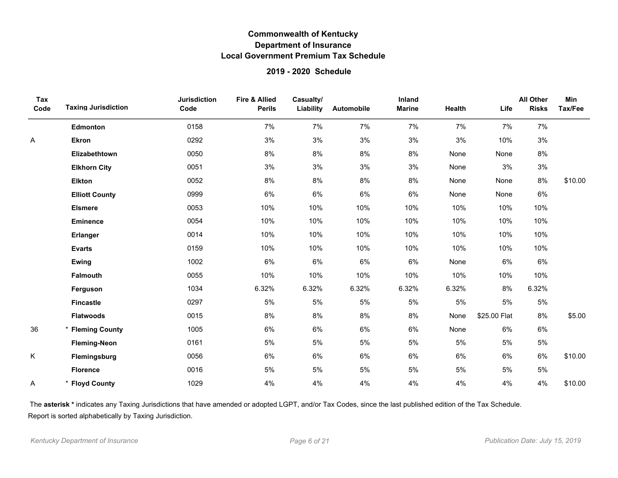### **2019 - 2020 Schedule**

| Tax<br>Code | <b>Taxing Jurisdiction</b> | <b>Jurisdiction</b><br>Code | <b>Fire &amp; Allied</b><br><b>Perils</b> | Casualty/<br>Liability | Automobile | Inland<br><b>Marine</b> | Health | Life         | <b>All Other</b><br><b>Risks</b> | Min<br>Tax/Fee |
|-------------|----------------------------|-----------------------------|-------------------------------------------|------------------------|------------|-------------------------|--------|--------------|----------------------------------|----------------|
|             | <b>Edmonton</b>            | 0158                        | 7%                                        | 7%                     | 7%         | 7%                      | 7%     | 7%           | 7%                               |                |
| Α           | <b>Ekron</b>               | 0292                        | 3%                                        | 3%                     | 3%         | 3%                      | 3%     | 10%          | $3%$                             |                |
|             | Elizabethtown              | 0050                        | $8\%$                                     | 8%                     | $8\%$      | $8\%$                   | None   | None         | 8%                               |                |
|             | <b>Elkhorn City</b>        | 0051                        | 3%                                        | 3%                     | 3%         | 3%                      | None   | 3%           | 3%                               |                |
|             | <b>Elkton</b>              | 0052                        | 8%                                        | 8%                     | 8%         | 8%                      | None   | None         | 8%                               | \$10.00        |
|             | <b>Elliott County</b>      | 0999                        | 6%                                        | 6%                     | 6%         | 6%                      | None   | None         | 6%                               |                |
|             | <b>Elsmere</b>             | 0053                        | 10%                                       | 10%                    | 10%        | 10%                     | 10%    | 10%          | 10%                              |                |
|             | <b>Eminence</b>            | 0054                        | 10%                                       | 10%                    | 10%        | 10%                     | 10%    | 10%          | 10%                              |                |
|             | <b>Erlanger</b>            | 0014                        | 10%                                       | 10%                    | 10%        | 10%                     | 10%    | 10%          | 10%                              |                |
|             | <b>Evarts</b>              | 0159                        | 10%                                       | 10%                    | 10%        | 10%                     | 10%    | 10%          | 10%                              |                |
|             | Ewing                      | 1002                        | 6%                                        | 6%                     | 6%         | 6%                      | None   | 6%           | $6\%$                            |                |
|             | <b>Falmouth</b>            | 0055                        | 10%                                       | 10%                    | 10%        | 10%                     | 10%    | 10%          | 10%                              |                |
|             | Ferguson                   | 1034                        | 6.32%                                     | 6.32%                  | 6.32%      | 6.32%                   | 6.32%  | 8%           | 6.32%                            |                |
|             | <b>Fincastle</b>           | 0297                        | 5%                                        | 5%                     | 5%         | 5%                      | 5%     | 5%           | $5\%$                            |                |
|             | <b>Flatwoods</b>           | 0015                        | 8%                                        | $8\%$                  | $8\%$      | 8%                      | None   | \$25.00 Flat | 8%                               | \$5.00         |
| 36          | * Fleming County           | 1005                        | 6%                                        | 6%                     | 6%         | 6%                      | None   | 6%           | 6%                               |                |
|             | <b>Fleming-Neon</b>        | 0161                        | 5%                                        | $5\%$                  | 5%         | 5%                      | 5%     | 5%           | $5\%$                            |                |
| K           | Flemingsburg               | 0056                        | 6%                                        | 6%                     | 6%         | 6%                      | 6%     | 6%           | 6%                               | \$10.00        |
|             | <b>Florence</b>            | 0016                        | 5%                                        | 5%                     | 5%         | 5%                      | 5%     | 5%           | 5%                               |                |
| Α           | <b>Floyd County</b>        | 1029                        | 4%                                        | 4%                     | 4%         | 4%                      | 4%     | 4%           | 4%                               | \$10.00        |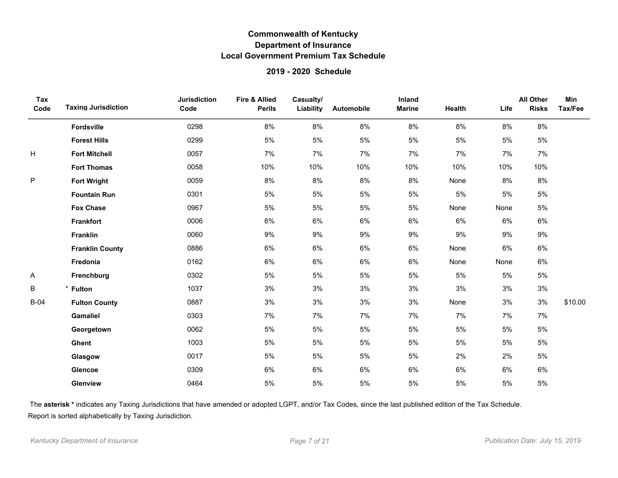### **2019 - 2020 Schedule**

| Tax<br>Code | <b>Taxing Jurisdiction</b> | <b>Jurisdiction</b><br>Code | <b>Fire &amp; Allied</b><br><b>Perils</b> | Casualty/<br>Liability | Automobile | Inland<br><b>Marine</b> | <b>Health</b> | Life  | <b>All Other</b><br><b>Risks</b> | <b>Min</b><br>Tax/Fee |
|-------------|----------------------------|-----------------------------|-------------------------------------------|------------------------|------------|-------------------------|---------------|-------|----------------------------------|-----------------------|
|             | Fordsville                 | 0298                        | 8%                                        | 8%                     | 8%         | 8%                      | 8%            | 8%    | $8\%$                            |                       |
|             | <b>Forest Hills</b>        | 0299                        | 5%                                        | 5%                     | 5%         | 5%                      | $5\%$         | $5\%$ | $5\%$                            |                       |
| Н           | <b>Fort Mitchell</b>       | 0057                        | 7%                                        | 7%                     | 7%         | 7%                      | 7%            | 7%    | 7%                               |                       |
|             | <b>Fort Thomas</b>         | 0058                        | 10%                                       | 10%                    | 10%        | 10%                     | 10%           | 10%   | 10%                              |                       |
| ${\sf P}$   | <b>Fort Wright</b>         | 0059                        | 8%                                        | 8%                     | 8%         | 8%                      | None          | 8%    | 8%                               |                       |
|             | <b>Fountain Run</b>        | 0301                        | 5%                                        | 5%                     | 5%         | 5%                      | $5\%$         | 5%    | 5%                               |                       |
|             | <b>Fox Chase</b>           | 0967                        | 5%                                        | 5%                     | 5%         | 5%                      | None          | None  | $5\%$                            |                       |
|             | <b>Frankfort</b>           | 0006                        | 6%                                        | 6%                     | 6%         | 6%                      | 6%            | 6%    | 6%                               |                       |
|             | <b>Franklin</b>            | 0060                        | 9%                                        | 9%                     | 9%         | 9%                      | 9%            | 9%    | 9%                               |                       |
|             | <b>Franklin County</b>     | 0886                        | 6%                                        | 6%                     | 6%         | 6%                      | None          | 6%    | 6%                               |                       |
|             | Fredonia                   | 0162                        | 6%                                        | 6%                     | 6%         | 6%                      | None          | None  | 6%                               |                       |
| Α           | Frenchburg                 | 0302                        | 5%                                        | 5%                     | 5%         | 5%                      | 5%            | 5%    | $5\%$                            |                       |
| $\sf B$     | * Fulton                   | 1037                        | 3%                                        | 3%                     | 3%         | 3%                      | 3%            | 3%    | 3%                               |                       |
| $B-04$      | <b>Fulton County</b>       | 0887                        | 3%                                        | 3%                     | 3%         | 3%                      | None          | 3%    | 3%                               | \$10.00               |
|             | <b>Gamaliel</b>            | 0303                        | 7%                                        | 7%                     | 7%         | 7%                      | 7%            | 7%    | 7%                               |                       |
|             | Georgetown                 | 0062                        | 5%                                        | 5%                     | 5%         | 5%                      | $5\%$         | 5%    | $5\%$                            |                       |
|             | Ghent                      | 1003                        | 5%                                        | 5%                     | 5%         | 5%                      | $5\%$         | $5\%$ | 5%                               |                       |
|             | Glasgow                    | 0017                        | 5%                                        | 5%                     | 5%         | 5%                      | 2%            | 2%    | $5\%$                            |                       |
|             | Glencoe                    | 0309                        | 6%                                        | 6%                     | 6%         | 6%                      | 6%            | 6%    | 6%                               |                       |
|             | Glenview                   | 0464                        | 5%                                        | $5\%$                  | 5%         | 5%                      | $5\%$         | 5%    | $5\%$                            |                       |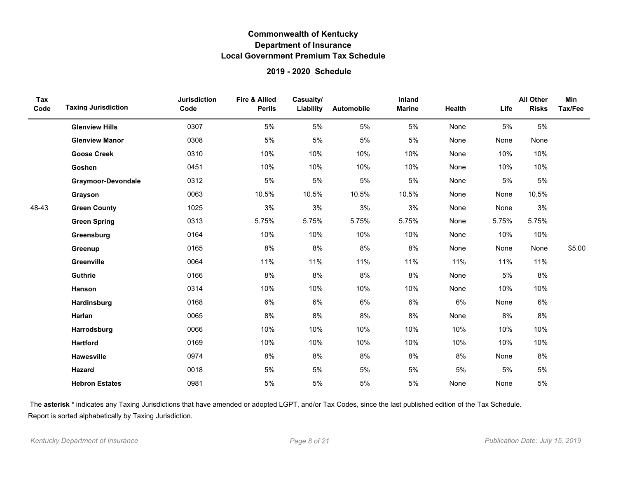### **2019 - 2020 Schedule**

| Tax<br>Code | <b>Taxing Jurisdiction</b> | <b>Jurisdiction</b><br>Code | Fire & Allied<br><b>Perils</b> | Casualty/<br>Liability | Automobile | Inland<br><b>Marine</b> | Health | Life  | <b>All Other</b><br><b>Risks</b> | <b>Min</b><br>Tax/Fee |
|-------------|----------------------------|-----------------------------|--------------------------------|------------------------|------------|-------------------------|--------|-------|----------------------------------|-----------------------|
|             | <b>Glenview Hills</b>      | 0307                        | 5%                             | 5%                     | 5%         | 5%                      | None   | 5%    | 5%                               |                       |
|             | <b>Glenview Manor</b>      | 0308                        | 5%                             | 5%                     | 5%         | 5%                      | None   | None  | None                             |                       |
|             | <b>Goose Creek</b>         | 0310                        | 10%                            | 10%                    | 10%        | 10%                     | None   | 10%   | 10%                              |                       |
|             | Goshen                     | 0451                        | 10%                            | 10%                    | 10%        | 10%                     | None   | 10%   | 10%                              |                       |
|             | <b>Graymoor-Devondale</b>  | 0312                        | 5%                             | $5\%$                  | 5%         | $5\%$                   | None   | $5\%$ | $5\%$                            |                       |
|             | Grayson                    | 0063                        | 10.5%                          | 10.5%                  | 10.5%      | 10.5%                   | None   | None  | 10.5%                            |                       |
| 48-43       | <b>Green County</b>        | 1025                        | 3%                             | $3%$                   | 3%         | 3%                      | None   | None  | 3%                               |                       |
|             | <b>Green Spring</b>        | 0313                        | 5.75%                          | 5.75%                  | 5.75%      | 5.75%                   | None   | 5.75% | 5.75%                            |                       |
|             | Greensburg                 | 0164                        | 10%                            | 10%                    | 10%        | 10%                     | None   | 10%   | 10%                              |                       |
|             | Greenup                    | 0165                        | 8%                             | 8%                     | 8%         | 8%                      | None   | None  | None                             | \$5.00                |
|             | Greenville                 | 0064                        | 11%                            | 11%                    | 11%        | 11%                     | 11%    | 11%   | 11%                              |                       |
|             | Guthrie                    | 0166                        | 8%                             | 8%                     | 8%         | 8%                      | None   | 5%    | $8\%$                            |                       |
|             | Hanson                     | 0314                        | 10%                            | 10%                    | 10%        | 10%                     | None   | 10%   | 10%                              |                       |
|             | Hardinsburg                | 0168                        | 6%                             | 6%                     | 6%         | 6%                      | 6%     | None  | 6%                               |                       |
|             | Harlan                     | 0065                        | 8%                             | 8%                     | 8%         | 8%                      | None   | 8%    | 8%                               |                       |
|             | Harrodsburg                | 0066                        | 10%                            | 10%                    | 10%        | 10%                     | 10%    | 10%   | 10%                              |                       |
|             | <b>Hartford</b>            | 0169                        | 10%                            | 10%                    | 10%        | 10%                     | 10%    | 10%   | 10%                              |                       |
|             | Hawesville                 | 0974                        | 8%                             | 8%                     | 8%         | 8%                      | 8%     | None  | 8%                               |                       |
|             | <b>Hazard</b>              | 0018                        | 5%                             | 5%                     | 5%         | 5%                      | 5%     | 5%    | $5\%$                            |                       |
|             | <b>Hebron Estates</b>      | 0981                        | 5%                             | 5%                     | 5%         | 5%                      | None   | None  | $5\%$                            |                       |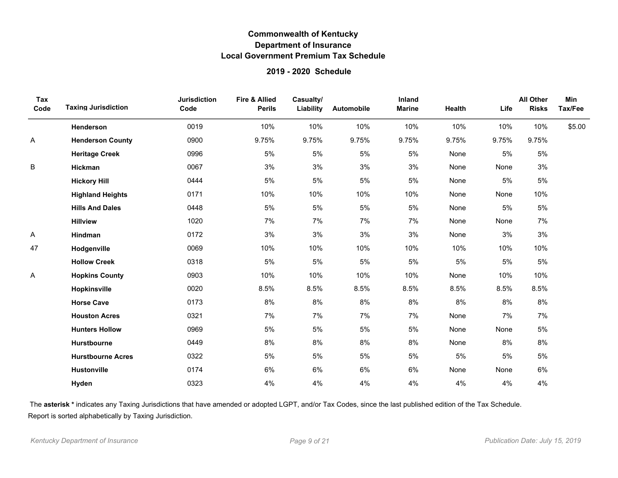### **2019 - 2020 Schedule**

| Tax<br>Code | <b>Taxing Jurisdiction</b> | <b>Jurisdiction</b><br>Code | <b>Fire &amp; Allied</b><br><b>Perils</b> | Casualty/<br>Liability | Automobile | Inland<br><b>Marine</b> | Health | Life  | <b>All Other</b><br><b>Risks</b> | Min<br>Tax/Fee |
|-------------|----------------------------|-----------------------------|-------------------------------------------|------------------------|------------|-------------------------|--------|-------|----------------------------------|----------------|
|             | Henderson                  | 0019                        | 10%                                       | 10%                    | 10%        | 10%                     | 10%    | 10%   | 10%                              | \$5.00         |
| Α           | <b>Henderson County</b>    | 0900                        | 9.75%                                     | 9.75%                  | 9.75%      | 9.75%                   | 9.75%  | 9.75% | 9.75%                            |                |
|             | <b>Heritage Creek</b>      | 0996                        | 5%                                        | 5%                     | 5%         | 5%                      | None   | 5%    | 5%                               |                |
| B           | Hickman                    | 0067                        | 3%                                        | 3%                     | 3%         | 3%                      | None   | None  | 3%                               |                |
|             | <b>Hickory Hill</b>        | 0444                        | 5%                                        | 5%                     | 5%         | 5%                      | None   | 5%    | 5%                               |                |
|             | <b>Highland Heights</b>    | 0171                        | 10%                                       | 10%                    | 10%        | 10%                     | None   | None  | 10%                              |                |
|             | <b>Hills And Dales</b>     | 0448                        | $5%$                                      | 5%                     | 5%         | 5%                      | None   | 5%    | 5%                               |                |
|             | <b>Hillview</b>            | 1020                        | 7%                                        | 7%                     | 7%         | 7%                      | None   | None  | 7%                               |                |
| А           | Hindman                    | 0172                        | 3%                                        | 3%                     | 3%         | 3%                      | None   | 3%    | 3%                               |                |
| 47          | Hodgenville                | 0069                        | 10%                                       | 10%                    | 10%        | 10%                     | 10%    | 10%   | 10%                              |                |
|             | <b>Hollow Creek</b>        | 0318                        | 5%                                        | 5%                     | 5%         | 5%                      | 5%     | 5%    | 5%                               |                |
| Α           | <b>Hopkins County</b>      | 0903                        | 10%                                       | 10%                    | 10%        | 10%                     | None   | 10%   | 10%                              |                |
|             | Hopkinsville               | 0020                        | 8.5%                                      | 8.5%                   | 8.5%       | 8.5%                    | 8.5%   | 8.5%  | 8.5%                             |                |
|             | <b>Horse Cave</b>          | 0173                        | 8%                                        | 8%                     | 8%         | 8%                      | 8%     | 8%    | 8%                               |                |
|             | <b>Houston Acres</b>       | 0321                        | 7%                                        | 7%                     | 7%         | 7%                      | None   | 7%    | 7%                               |                |
|             | <b>Hunters Hollow</b>      | 0969                        | 5%                                        | 5%                     | 5%         | 5%                      | None   | None  | 5%                               |                |
|             | Hurstbourne                | 0449                        | 8%                                        | 8%                     | 8%         | 8%                      | None   | 8%    | 8%                               |                |
|             | <b>Hurstbourne Acres</b>   | 0322                        | 5%                                        | 5%                     | 5%         | 5%                      | $5%$   | 5%    | 5%                               |                |
|             | <b>Hustonville</b>         | 0174                        | 6%                                        | 6%                     | 6%         | 6%                      | None   | None  | 6%                               |                |
|             | Hyden                      | 0323                        | 4%                                        | 4%                     | 4%         | 4%                      | 4%     | 4%    | 4%                               |                |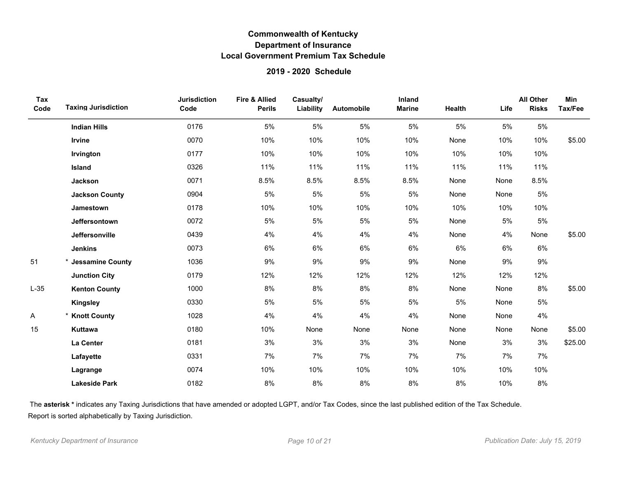### **2019 - 2020 Schedule**

| Tax<br>Code | <b>Taxing Jurisdiction</b> | <b>Jurisdiction</b><br>Code | <b>Fire &amp; Allied</b><br><b>Perils</b> | Casualty/<br>Liability | Automobile | Inland<br><b>Marine</b> | Health | Life  | <b>All Other</b><br><b>Risks</b> | Min<br>Tax/Fee |
|-------------|----------------------------|-----------------------------|-------------------------------------------|------------------------|------------|-------------------------|--------|-------|----------------------------------|----------------|
|             | <b>Indian Hills</b>        | 0176                        | 5%                                        | $5\%$                  | 5%         | 5%                      | 5%     | 5%    | 5%                               |                |
|             | Irvine                     | 0070                        | 10%                                       | 10%                    | 10%        | 10%                     | None   | 10%   | 10%                              | \$5.00         |
|             | Irvington                  | 0177                        | 10%                                       | 10%                    | 10%        | 10%                     | 10%    | 10%   | 10%                              |                |
|             | Island                     | 0326                        | 11%                                       | 11%                    | 11%        | 11%                     | 11%    | 11%   | 11%                              |                |
|             | Jackson                    | 0071                        | 8.5%                                      | 8.5%                   | 8.5%       | 8.5%                    | None   | None  | 8.5%                             |                |
|             | <b>Jackson County</b>      | 0904                        | 5%                                        | 5%                     | $5\%$      | 5%                      | None   | None  | 5%                               |                |
|             | Jamestown                  | 0178                        | 10%                                       | 10%                    | 10%        | 10%                     | 10%    | 10%   | 10%                              |                |
|             | Jeffersontown              | 0072                        | 5%                                        | 5%                     | 5%         | 5%                      | None   | $5\%$ | $5\%$                            |                |
|             | Jeffersonville             | 0439                        | 4%                                        | 4%                     | 4%         | 4%                      | None   | 4%    | None                             | \$5.00         |
|             | <b>Jenkins</b>             | 0073                        | 6%                                        | 6%                     | 6%         | 6%                      | 6%     | 6%    | 6%                               |                |
| 51          | * Jessamine County         | 1036                        | 9%                                        | 9%                     | 9%         | 9%                      | None   | 9%    | 9%                               |                |
|             | <b>Junction City</b>       | 0179                        | 12%                                       | 12%                    | 12%        | 12%                     | 12%    | 12%   | 12%                              |                |
| $L-35$      | <b>Kenton County</b>       | 1000                        | 8%                                        | 8%                     | $8\%$      | $8\%$                   | None   | None  | 8%                               | \$5.00         |
|             | <b>Kingsley</b>            | 0330                        | 5%                                        | 5%                     | 5%         | 5%                      | 5%     | None  | 5%                               |                |
| Α           | * Knott County             | 1028                        | 4%                                        | 4%                     | 4%         | 4%                      | None   | None  | 4%                               |                |
| 15          | Kuttawa                    | 0180                        | 10%                                       | None                   | None       | None                    | None   | None  | None                             | \$5.00         |
|             | La Center                  | 0181                        | 3%                                        | 3%                     | 3%         | 3%                      | None   | 3%    | 3%                               | \$25.00        |
|             | Lafayette                  | 0331                        | 7%                                        | 7%                     | 7%         | 7%                      | 7%     | 7%    | 7%                               |                |
|             | Lagrange                   | 0074                        | 10%                                       | 10%                    | 10%        | 10%                     | 10%    | 10%   | 10%                              |                |
|             | <b>Lakeside Park</b>       | 0182                        | 8%                                        | 8%                     | 8%         | 8%                      | 8%     | 10%   | 8%                               |                |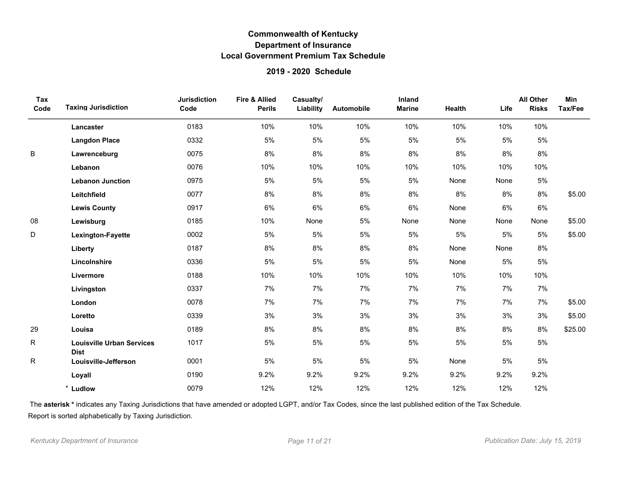### **2019 - 2020 Schedule**

| Tax<br>Code | <b>Taxing Jurisdiction</b>                      | <b>Jurisdiction</b><br>Code | Fire & Allied<br><b>Perils</b> | Casualty/<br>Liability | Automobile | Inland<br><b>Marine</b> | Health | Life  | <b>All Other</b><br><b>Risks</b> | Min<br>Tax/Fee |
|-------------|-------------------------------------------------|-----------------------------|--------------------------------|------------------------|------------|-------------------------|--------|-------|----------------------------------|----------------|
|             | Lancaster                                       | 0183                        | 10%                            | 10%                    | 10%        | 10%                     | 10%    | 10%   | 10%                              |                |
|             | <b>Langdon Place</b>                            | 0332                        | 5%                             | 5%                     | 5%         | 5%                      | 5%     | 5%    | 5%                               |                |
| B           | Lawrenceburg                                    | 0075                        | 8%                             | 8%                     | 8%         | 8%                      | 8%     | 8%    | 8%                               |                |
|             | Lebanon                                         | 0076                        | 10%                            | 10%                    | 10%        | 10%                     | 10%    | 10%   | 10%                              |                |
|             | <b>Lebanon Junction</b>                         | 0975                        | 5%                             | 5%                     | 5%         | 5%                      | None   | None  | 5%                               |                |
|             | Leitchfield                                     | 0077                        | 8%                             | 8%                     | 8%         | 8%                      | 8%     | 8%    | 8%                               | \$5.00         |
|             | <b>Lewis County</b>                             | 0917                        | 6%                             | 6%                     | 6%         | 6%                      | None   | 6%    | 6%                               |                |
| 08          | Lewisburg                                       | 0185                        | 10%                            | None                   | 5%         | None                    | None   | None  | None                             | \$5.00         |
| D           | Lexington-Fayette                               | 0002                        | 5%                             | 5%                     | 5%         | 5%                      | 5%     | 5%    | 5%                               | \$5.00         |
|             | Liberty                                         | 0187                        | 8%                             | 8%                     | 8%         | 8%                      | None   | None  | 8%                               |                |
|             | Lincolnshire                                    | 0336                        | 5%                             | 5%                     | 5%         | 5%                      | None   | 5%    | 5%                               |                |
|             | Livermore                                       | 0188                        | 10%                            | 10%                    | 10%        | 10%                     | 10%    | 10%   | 10%                              |                |
|             | Livingston                                      | 0337                        | 7%                             | 7%                     | 7%         | 7%                      | 7%     | $7\%$ | 7%                               |                |
|             | London                                          | 0078                        | 7%                             | 7%                     | 7%         | 7%                      | 7%     | 7%    | 7%                               | \$5.00         |
|             | Loretto                                         | 0339                        | 3%                             | 3%                     | 3%         | 3%                      | 3%     | 3%    | 3%                               | \$5.00         |
| 29          | Louisa                                          | 0189                        | 8%                             | 8%                     | 8%         | 8%                      | 8%     | 8%    | 8%                               | \$25.00        |
| R           | <b>Louisville Urban Services</b><br><b>Dist</b> | 1017                        | 5%                             | $5\%$                  | 5%         | 5%                      | $5\%$  | 5%    | 5%                               |                |
| R           | Louisville-Jefferson                            | 0001                        | 5%                             | 5%                     | 5%         | 5%                      | None   | 5%    | 5%                               |                |
|             | Loyall                                          | 0190                        | 9.2%                           | 9.2%                   | 9.2%       | 9.2%                    | 9.2%   | 9.2%  | 9.2%                             |                |
|             | * Ludlow                                        | 0079                        | 12%                            | 12%                    | 12%        | 12%                     | 12%    | 12%   | 12%                              |                |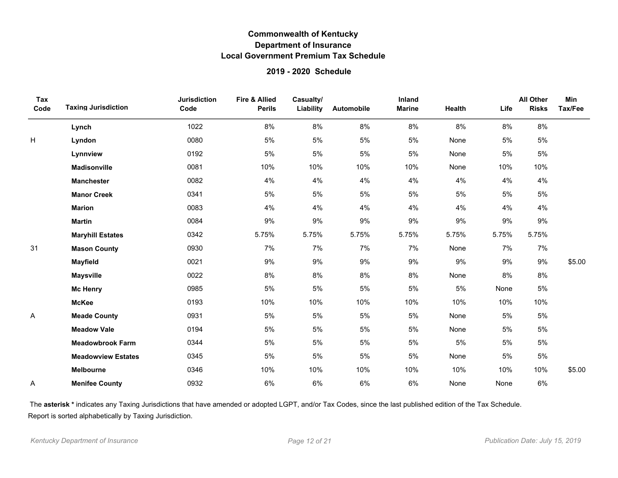### **2019 - 2020 Schedule**

| Tax<br>Code | <b>Taxing Jurisdiction</b> | <b>Jurisdiction</b><br>Code | <b>Fire &amp; Allied</b><br><b>Perils</b> | Casualty/<br>Liability | Automobile | Inland<br><b>Marine</b> | Health | Life  | <b>All Other</b><br><b>Risks</b> | <b>Min</b><br>Tax/Fee |
|-------------|----------------------------|-----------------------------|-------------------------------------------|------------------------|------------|-------------------------|--------|-------|----------------------------------|-----------------------|
|             | Lynch                      | 1022                        | 8%                                        | 8%                     | 8%         | 8%                      | 8%     | 8%    | $8\%$                            |                       |
| H           | Lyndon                     | 0080                        | 5%                                        | $5\%$                  | 5%         | 5%                      | None   | 5%    | 5%                               |                       |
|             | Lynnview                   | 0192                        | 5%                                        | 5%                     | 5%         | 5%                      | None   | 5%    | 5%                               |                       |
|             | <b>Madisonville</b>        | 0081                        | 10%                                       | 10%                    | 10%        | 10%                     | None   | 10%   | 10%                              |                       |
|             | <b>Manchester</b>          | 0082                        | 4%                                        | 4%                     | 4%         | 4%                      | 4%     | 4%    | 4%                               |                       |
|             | <b>Manor Creek</b>         | 0341                        | 5%                                        | $5\%$                  | 5%         | 5%                      | $5\%$  | 5%    | $5\%$                            |                       |
|             | <b>Marion</b>              | 0083                        | 4%                                        | 4%                     | 4%         | 4%                      | 4%     | 4%    | 4%                               |                       |
|             | <b>Martin</b>              | 0084                        | 9%                                        | 9%                     | 9%         | 9%                      | 9%     | 9%    | 9%                               |                       |
|             | <b>Maryhill Estates</b>    | 0342                        | 5.75%                                     | 5.75%                  | 5.75%      | 5.75%                   | 5.75%  | 5.75% | 5.75%                            |                       |
| 31          | <b>Mason County</b>        | 0930                        | 7%                                        | 7%                     | 7%         | 7%                      | None   | 7%    | 7%                               |                       |
|             | <b>Mayfield</b>            | 0021                        | 9%                                        | 9%                     | 9%         | 9%                      | 9%     | 9%    | 9%                               | \$5.00                |
|             | <b>Maysville</b>           | 0022                        | 8%                                        | 8%                     | 8%         | 8%                      | None   | 8%    | 8%                               |                       |
|             | <b>Mc Henry</b>            | 0985                        | $5\%$                                     | $5\%$                  | 5%         | 5%                      | $5\%$  | None  | $5\%$                            |                       |
|             | <b>McKee</b>               | 0193                        | 10%                                       | 10%                    | 10%        | 10%                     | 10%    | 10%   | 10%                              |                       |
| Α           | <b>Meade County</b>        | 0931                        | 5%                                        | $5\%$                  | 5%         | 5%                      | None   | 5%    | 5%                               |                       |
|             | <b>Meadow Vale</b>         | 0194                        | 5%                                        | 5%                     | 5%         | 5%                      | None   | 5%    | 5%                               |                       |
|             | <b>Meadowbrook Farm</b>    | 0344                        | 5%                                        | $5\%$                  | 5%         | 5%                      | $5\%$  | 5%    | $5\%$                            |                       |
|             | <b>Meadowview Estates</b>  | 0345                        | 5%                                        | $5\%$                  | 5%         | 5%                      | None   | 5%    | $5\%$                            |                       |
|             | Melbourne                  | 0346                        | 10%                                       | 10%                    | 10%        | 10%                     | 10%    | 10%   | 10%                              | \$5.00                |
| A           | <b>Menifee County</b>      | 0932                        | 6%                                        | 6%                     | 6%         | 6%                      | None   | None  | 6%                               |                       |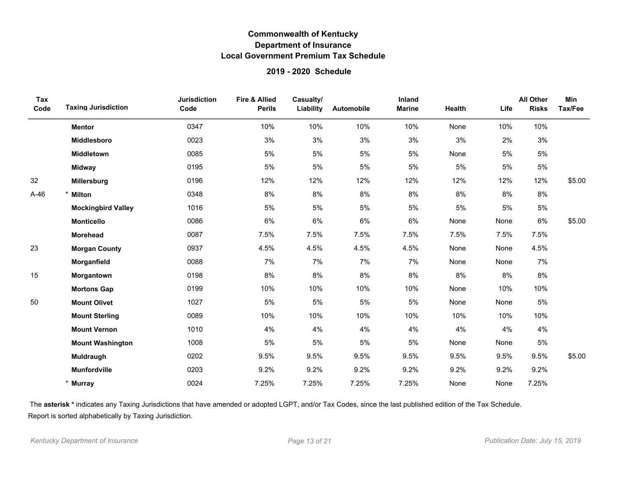### **2019 - 2020 Schedule**

| Tax<br>Code | <b>Taxing Jurisdiction</b> | <b>Jurisdiction</b><br>Code | Fire & Allied<br><b>Perils</b> | Casualty/<br>Liability | Automobile | Inland<br><b>Marine</b> | Health | Life | <b>All Other</b><br><b>Risks</b> | <b>Min</b><br>Tax/Fee |
|-------------|----------------------------|-----------------------------|--------------------------------|------------------------|------------|-------------------------|--------|------|----------------------------------|-----------------------|
|             | <b>Mentor</b>              | 0347                        | 10%                            | 10%                    | 10%        | 10%                     | None   | 10%  | 10%                              |                       |
|             | Middlesboro                | 0023                        | 3%                             | 3%                     | 3%         | 3%                      | 3%     | 2%   | 3%                               |                       |
|             | Middletown                 | 0085                        | 5%                             | 5%                     | 5%         | 5%                      | None   | 5%   | 5%                               |                       |
|             | <b>Midway</b>              | 0195                        | 5%                             | 5%                     | 5%         | 5%                      | 5%     | 5%   | $5\%$                            |                       |
| 32          | Millersburg                | 0196                        | 12%                            | 12%                    | 12%        | 12%                     | 12%    | 12%  | 12%                              | \$5.00                |
| $A-46$      | <b>Milton</b>              | 0348                        | 8%                             | $8\%$                  | 8%         | 8%                      | 8%     | 8%   | 8%                               |                       |
|             | <b>Mockingbird Valley</b>  | 1016                        | 5%                             | 5%                     | 5%         | 5%                      | 5%     | 5%   | 5%                               |                       |
|             | <b>Monticello</b>          | 0086                        | 6%                             | 6%                     | 6%         | 6%                      | None   | None | 6%                               | \$5.00                |
|             | <b>Morehead</b>            | 0087                        | 7.5%                           | 7.5%                   | 7.5%       | 7.5%                    | 7.5%   | 7.5% | 7.5%                             |                       |
| 23          | <b>Morgan County</b>       | 0937                        | 4.5%                           | 4.5%                   | 4.5%       | 4.5%                    | None   | None | 4.5%                             |                       |
|             | Morganfield                | 0088                        | 7%                             | 7%                     | 7%         | 7%                      | None   | None | 7%                               |                       |
| 15          | Morgantown                 | 0198                        | 8%                             | 8%                     | 8%         | 8%                      | 8%     | 8%   | 8%                               |                       |
|             | <b>Mortons Gap</b>         | 0199                        | 10%                            | 10%                    | 10%        | 10%                     | None   | 10%  | 10%                              |                       |
| 50          | <b>Mount Olivet</b>        | 1027                        | 5%                             | 5%                     | 5%         | 5%                      | None   | None | 5%                               |                       |
|             | <b>Mount Sterling</b>      | 0089                        | 10%                            | 10%                    | 10%        | 10%                     | 10%    | 10%  | 10%                              |                       |
|             | <b>Mount Vernon</b>        | 1010                        | 4%                             | 4%                     | 4%         | 4%                      | 4%     | 4%   | 4%                               |                       |
|             | <b>Mount Washington</b>    | 1008                        | 5%                             | $5\%$                  | 5%         | 5%                      | None   | None | 5%                               |                       |
|             | Muldraugh                  | 0202                        | 9.5%                           | 9.5%                   | 9.5%       | 9.5%                    | 9.5%   | 9.5% | 9.5%                             | \$5.00                |
|             | <b>Munfordville</b>        | 0203                        | 9.2%                           | 9.2%                   | 9.2%       | 9.2%                    | 9.2%   | 9.2% | 9.2%                             |                       |
|             | <b>Murray</b>              | 0024                        | 7.25%                          | 7.25%                  | 7.25%      | 7.25%                   | None   | None | 7.25%                            |                       |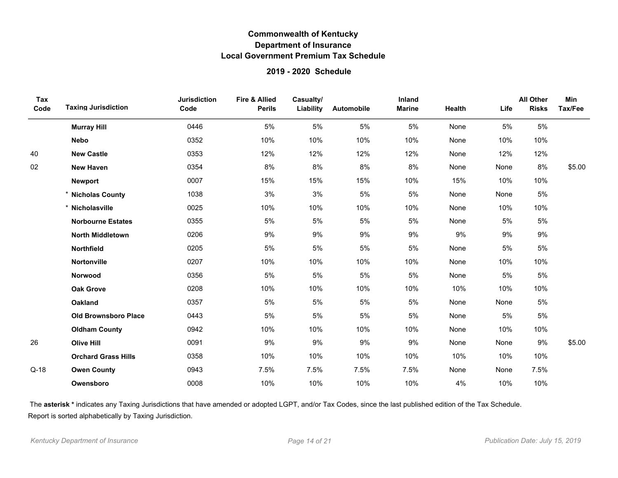### **2019 - 2020 Schedule**

| Tax<br>Code | <b>Taxing Jurisdiction</b>  | <b>Jurisdiction</b><br>Code | <b>Fire &amp; Allied</b><br><b>Perils</b> | Casualty/<br>Liability | Automobile | Inland<br><b>Marine</b> | Health | Life | <b>All Other</b><br><b>Risks</b> | Min<br>Tax/Fee |
|-------------|-----------------------------|-----------------------------|-------------------------------------------|------------------------|------------|-------------------------|--------|------|----------------------------------|----------------|
|             | <b>Murray Hill</b>          | 0446                        | 5%                                        | 5%                     | 5%         | 5%                      | None   | 5%   | 5%                               |                |
|             | <b>Nebo</b>                 | 0352                        | 10%                                       | 10%                    | 10%        | 10%                     | None   | 10%  | 10%                              |                |
| 40          | <b>New Castle</b>           | 0353                        | 12%                                       | 12%                    | 12%        | 12%                     | None   | 12%  | 12%                              |                |
| 02          | <b>New Haven</b>            | 0354                        | 8%                                        | 8%                     | 8%         | 8%                      | None   | None | 8%                               | \$5.00         |
|             | <b>Newport</b>              | 0007                        | 15%                                       | 15%                    | 15%        | 10%                     | 15%    | 10%  | 10%                              |                |
|             | * Nicholas County           | 1038                        | 3%                                        | 3%                     | $5\%$      | $5%$                    | None   | None | 5%                               |                |
|             | * Nicholasville             | 0025                        | 10%                                       | 10%                    | 10%        | 10%                     | None   | 10%  | 10%                              |                |
|             | <b>Norbourne Estates</b>    | 0355                        | 5%                                        | 5%                     | 5%         | 5%                      | None   | 5%   | 5%                               |                |
|             | <b>North Middletown</b>     | 0206                        | 9%                                        | 9%                     | 9%         | 9%                      | 9%     | 9%   | 9%                               |                |
|             | Northfield                  | 0205                        | 5%                                        | 5%                     | 5%         | 5%                      | None   | 5%   | 5%                               |                |
|             | Nortonville                 | 0207                        | 10%                                       | 10%                    | 10%        | 10%                     | None   | 10%  | 10%                              |                |
|             | Norwood                     | 0356                        | 5%                                        | $5\%$                  | 5%         | 5%                      | None   | 5%   | 5%                               |                |
|             | <b>Oak Grove</b>            | 0208                        | 10%                                       | 10%                    | 10%        | 10%                     | 10%    | 10%  | 10%                              |                |
|             | <b>Oakland</b>              | 0357                        | 5%                                        | 5%                     | 5%         | 5%                      | None   | None | 5%                               |                |
|             | <b>Old Brownsboro Place</b> | 0443                        | 5%                                        | 5%                     | 5%         | 5%                      | None   | 5%   | 5%                               |                |
|             | <b>Oldham County</b>        | 0942                        | 10%                                       | 10%                    | 10%        | 10%                     | None   | 10%  | 10%                              |                |
| 26          | <b>Olive Hill</b>           | 0091                        | 9%                                        | 9%                     | 9%         | 9%                      | None   | None | 9%                               | \$5.00         |
|             | <b>Orchard Grass Hills</b>  | 0358                        | 10%                                       | 10%                    | 10%        | 10%                     | 10%    | 10%  | 10%                              |                |
| $Q-18$      | <b>Owen County</b>          | 0943                        | 7.5%                                      | 7.5%                   | 7.5%       | 7.5%                    | None   | None | 7.5%                             |                |
|             | Owensboro                   | 0008                        | 10%                                       | 10%                    | 10%        | 10%                     | 4%     | 10%  | 10%                              |                |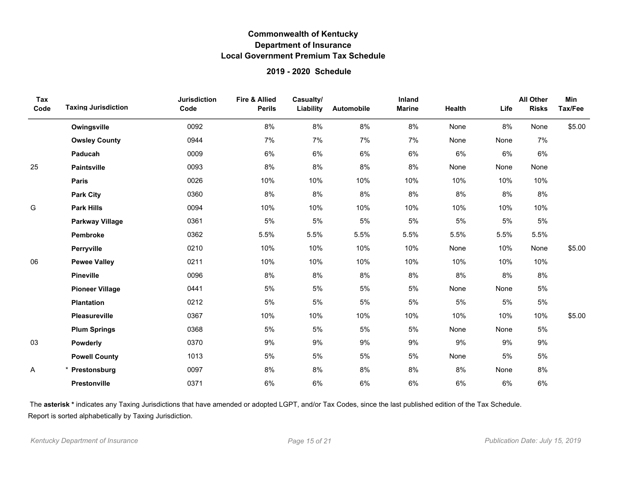### **2019 - 2020 Schedule**

| Tax<br>Code | <b>Taxing Jurisdiction</b> | <b>Jurisdiction</b><br>Code | <b>Fire &amp; Allied</b><br><b>Perils</b> | Casualty/<br>Liability | Automobile | Inland<br><b>Marine</b> | <b>Health</b> | Life | <b>All Other</b><br><b>Risks</b> | Min<br>Tax/Fee |
|-------------|----------------------------|-----------------------------|-------------------------------------------|------------------------|------------|-------------------------|---------------|------|----------------------------------|----------------|
|             | Owingsville                | 0092                        | 8%                                        | 8%                     | $8\%$      | $8\%$                   | None          | 8%   | None                             | \$5.00         |
|             | <b>Owsley County</b>       | 0944                        | 7%                                        | 7%                     | 7%         | 7%                      | None          | None | 7%                               |                |
|             | Paducah                    | 0009                        | 6%                                        | 6%                     | 6%         | 6%                      | 6%            | 6%   | 6%                               |                |
| 25          | <b>Paintsville</b>         | 0093                        | 8%                                        | 8%                     | 8%         | 8%                      | None          | None | None                             |                |
|             | Paris                      | 0026                        | 10%                                       | 10%                    | 10%        | 10%                     | 10%           | 10%  | 10%                              |                |
|             | <b>Park City</b>           | 0360                        | 8%                                        | 8%                     | 8%         | 8%                      | 8%            | 8%   | 8%                               |                |
| G           | <b>Park Hills</b>          | 0094                        | 10%                                       | 10%                    | 10%        | 10%                     | 10%           | 10%  | 10%                              |                |
|             | <b>Parkway Village</b>     | 0361                        | 5%                                        | 5%                     | 5%         | 5%                      | $5\%$         | 5%   | 5%                               |                |
|             | Pembroke                   | 0362                        | 5.5%                                      | 5.5%                   | 5.5%       | 5.5%                    | 5.5%          | 5.5% | 5.5%                             |                |
|             | Perryville                 | 0210                        | 10%                                       | 10%                    | 10%        | 10%                     | None          | 10%  | None                             | \$5.00         |
| 06          | <b>Pewee Valley</b>        | 0211                        | 10%                                       | 10%                    | 10%        | 10%                     | 10%           | 10%  | 10%                              |                |
|             | <b>Pineville</b>           | 0096                        | 8%                                        | 8%                     | 8%         | 8%                      | 8%            | 8%   | 8%                               |                |
|             | <b>Pioneer Village</b>     | 0441                        | 5%                                        | $5\%$                  | $5\%$      | 5%                      | None          | None | 5%                               |                |
|             | <b>Plantation</b>          | 0212                        | $5\%$                                     | 5%                     | $5\%$      | 5%                      | 5%            | 5%   | 5%                               |                |
|             | Pleasureville              | 0367                        | 10%                                       | 10%                    | 10%        | 10%                     | 10%           | 10%  | 10%                              | \$5.00         |
|             | <b>Plum Springs</b>        | 0368                        | 5%                                        | 5%                     | 5%         | 5%                      | None          | None | 5%                               |                |
| 03          | Powderly                   | 0370                        | 9%                                        | 9%                     | 9%         | 9%                      | 9%            | 9%   | 9%                               |                |
|             | <b>Powell County</b>       | 1013                        | 5%                                        | 5%                     | 5%         | 5%                      | None          | 5%   | 5%                               |                |
| Α           | Prestonsburg               | 0097                        | 8%                                        | 8%                     | 8%         | 8%                      | 8%            | None | 8%                               |                |
|             | Prestonville               | 0371                        | 6%                                        | 6%                     | 6%         | 6%                      | 6%            | 6%   | 6%                               |                |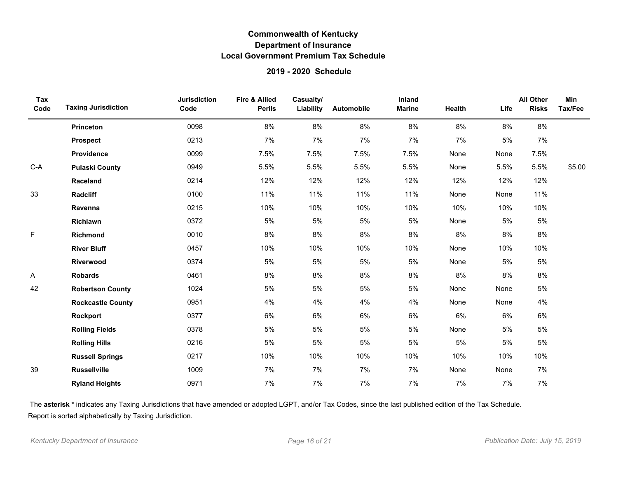### **2019 - 2020 Schedule**

| Tax<br>Code | <b>Taxing Jurisdiction</b> | <b>Jurisdiction</b><br>Code | <b>Fire &amp; Allied</b><br><b>Perils</b> | Casualty/<br>Liability | Automobile | Inland<br><b>Marine</b> | Health | Life | <b>All Other</b><br><b>Risks</b> | <b>Min</b><br>Tax/Fee |
|-------------|----------------------------|-----------------------------|-------------------------------------------|------------------------|------------|-------------------------|--------|------|----------------------------------|-----------------------|
|             | <b>Princeton</b>           | 0098                        | 8%                                        | 8%                     | 8%         | 8%                      | 8%     | 8%   | 8%                               |                       |
|             | <b>Prospect</b>            | 0213                        | 7%                                        | 7%                     | 7%         | 7%                      | 7%     | 5%   | 7%                               |                       |
|             | Providence                 | 0099                        | 7.5%                                      | 7.5%                   | 7.5%       | 7.5%                    | None   | None | 7.5%                             |                       |
| $C-A$       | <b>Pulaski County</b>      | 0949                        | 5.5%                                      | 5.5%                   | 5.5%       | 5.5%                    | None   | 5.5% | 5.5%                             | \$5.00                |
|             | Raceland                   | 0214                        | 12%                                       | 12%                    | 12%        | 12%                     | 12%    | 12%  | 12%                              |                       |
| 33          | Radcliff                   | 0100                        | 11%                                       | 11%                    | 11%        | 11%                     | None   | None | 11%                              |                       |
|             | Ravenna                    | 0215                        | 10%                                       | 10%                    | 10%        | 10%                     | 10%    | 10%  | 10%                              |                       |
|             | Richlawn                   | 0372                        | 5%                                        | 5%                     | 5%         | 5%                      | None   | 5%   | 5%                               |                       |
| F           | Richmond                   | 0010                        | 8%                                        | 8%                     | 8%         | 8%                      | 8%     | 8%   | 8%                               |                       |
|             | <b>River Bluff</b>         | 0457                        | 10%                                       | 10%                    | 10%        | 10%                     | None   | 10%  | 10%                              |                       |
|             | Riverwood                  | 0374                        | 5%                                        | 5%                     | 5%         | 5%                      | None   | 5%   | $5\%$                            |                       |
| Α           | <b>Robards</b>             | 0461                        | 8%                                        | 8%                     | 8%         | 8%                      | 8%     | 8%   | 8%                               |                       |
| 42          | <b>Robertson County</b>    | 1024                        | 5%                                        | $5\%$                  | 5%         | 5%                      | None   | None | $5\%$                            |                       |
|             | <b>Rockcastle County</b>   | 0951                        | 4%                                        | 4%                     | 4%         | 4%                      | None   | None | 4%                               |                       |
|             | Rockport                   | 0377                        | 6%                                        | 6%                     | 6%         | 6%                      | 6%     | 6%   | 6%                               |                       |
|             | <b>Rolling Fields</b>      | 0378                        | 5%                                        | 5%                     | 5%         | 5%                      | None   | 5%   | 5%                               |                       |
|             | <b>Rolling Hills</b>       | 0216                        | $5%$                                      | $5\%$                  | 5%         | 5%                      | 5%     | 5%   | 5%                               |                       |
|             | <b>Russell Springs</b>     | 0217                        | 10%                                       | 10%                    | 10%        | 10%                     | 10%    | 10%  | 10%                              |                       |
| 39          | <b>Russellville</b>        | 1009                        | 7%                                        | 7%                     | 7%         | 7%                      | None   | None | 7%                               |                       |
|             | <b>Ryland Heights</b>      | 0971                        | 7%                                        | 7%                     | 7%         | 7%                      | 7%     | 7%   | 7%                               |                       |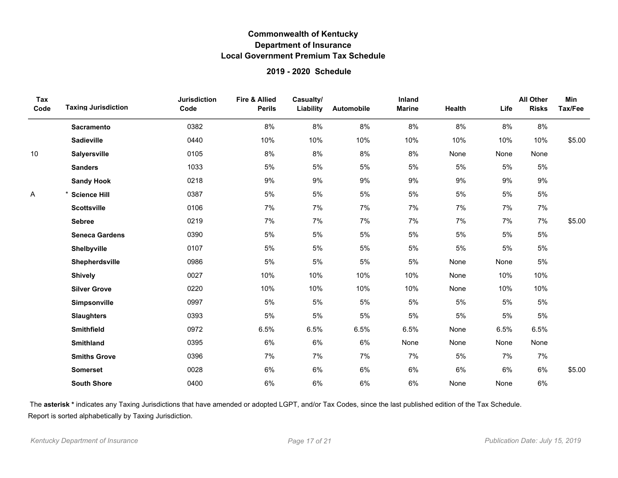### **2019 - 2020 Schedule**

| Tax<br>Code | <b>Taxing Jurisdiction</b> | <b>Jurisdiction</b><br>Code | <b>Fire &amp; Allied</b><br><b>Perils</b> | Casualty/<br>Liability | Automobile | Inland<br><b>Marine</b> | Health | Life  | <b>All Other</b><br><b>Risks</b> | <b>Min</b><br>Tax/Fee |
|-------------|----------------------------|-----------------------------|-------------------------------------------|------------------------|------------|-------------------------|--------|-------|----------------------------------|-----------------------|
|             | <b>Sacramento</b>          | 0382                        | 8%                                        | 8%                     | 8%         | 8%                      | 8%     | 8%    | 8%                               |                       |
|             | <b>Sadieville</b>          | 0440                        | 10%                                       | 10%                    | 10%        | 10%                     | 10%    | 10%   | 10%                              | \$5.00                |
| 10          | <b>Salyersville</b>        | 0105                        | 8%                                        | 8%                     | 8%         | 8%                      | None   | None  | None                             |                       |
|             | <b>Sanders</b>             | 1033                        | 5%                                        | 5%                     | 5%         | 5%                      | 5%     | 5%    | $5\%$                            |                       |
|             | <b>Sandy Hook</b>          | 0218                        | 9%                                        | 9%                     | $9\%$      | 9%                      | 9%     | 9%    | 9%                               |                       |
| Α           | * Science Hill             | 0387                        | 5%                                        | $5\%$                  | $5\%$      | 5%                      | 5%     | $5\%$ | $5\%$                            |                       |
|             | <b>Scottsville</b>         | 0106                        | 7%                                        | 7%                     | 7%         | 7%                      | 7%     | 7%    | 7%                               |                       |
|             | <b>Sebree</b>              | 0219                        | 7%                                        | 7%                     | 7%         | 7%                      | 7%     | 7%    | 7%                               | \$5.00                |
|             | <b>Seneca Gardens</b>      | 0390                        | 5%                                        | 5%                     | 5%         | 5%                      | 5%     | 5%    | 5%                               |                       |
|             | Shelbyville                | 0107                        | 5%                                        | 5%                     | 5%         | 5%                      | 5%     | 5%    | 5%                               |                       |
|             | Shepherdsville             | 0986                        | 5%                                        | 5%                     | 5%         | 5%                      | None   | None  | $5\%$                            |                       |
|             | <b>Shively</b>             | 0027                        | 10%                                       | 10%                    | 10%        | 10%                     | None   | 10%   | 10%                              |                       |
|             | <b>Silver Grove</b>        | 0220                        | 10%                                       | 10%                    | 10%        | 10%                     | None   | 10%   | 10%                              |                       |
|             | Simpsonville               | 0997                        | 5%                                        | 5%                     | 5%         | 5%                      | 5%     | 5%    | 5%                               |                       |
|             | <b>Slaughters</b>          | 0393                        | 5%                                        | 5%                     | 5%         | 5%                      | 5%     | 5%    | 5%                               |                       |
|             | Smithfield                 | 0972                        | 6.5%                                      | 6.5%                   | 6.5%       | 6.5%                    | None   | 6.5%  | 6.5%                             |                       |
|             | <b>Smithland</b>           | 0395                        | $6\%$                                     | 6%                     | 6%         | None                    | None   | None  | None                             |                       |
|             | <b>Smiths Grove</b>        | 0396                        | 7%                                        | 7%                     | 7%         | 7%                      | $5\%$  | 7%    | 7%                               |                       |
|             | <b>Somerset</b>            | 0028                        | $6\%$                                     | 6%                     | 6%         | 6%                      | 6%     | 6%    | 6%                               | \$5.00                |
|             | <b>South Shore</b>         | 0400                        | 6%                                        | $6\%$                  | 6%         | 6%                      | None   | None  | 6%                               |                       |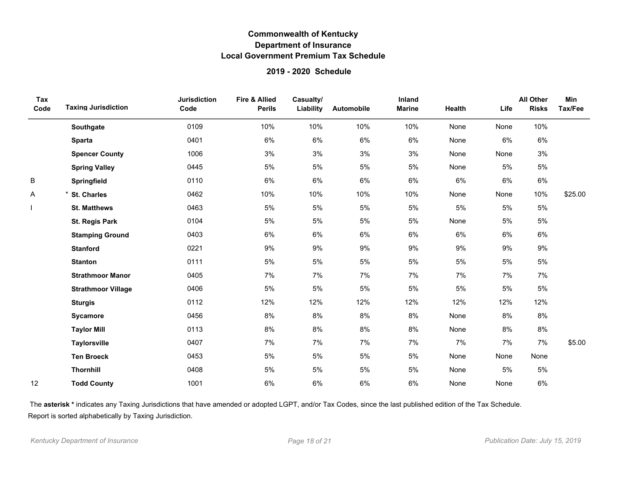### **2019 - 2020 Schedule**

| Tax<br>Code | <b>Taxing Jurisdiction</b> | <b>Jurisdiction</b><br>Code | <b>Fire &amp; Allied</b><br><b>Perils</b> | Casualty/<br>Liability | Automobile | Inland<br><b>Marine</b> | Health | Life | <b>All Other</b><br><b>Risks</b> | Min<br>Tax/Fee |
|-------------|----------------------------|-----------------------------|-------------------------------------------|------------------------|------------|-------------------------|--------|------|----------------------------------|----------------|
|             | Southgate                  | 0109                        | 10%                                       | 10%                    | 10%        | 10%                     | None   | None | 10%                              |                |
|             | <b>Sparta</b>              | 0401                        | 6%                                        | 6%                     | 6%         | 6%                      | None   | 6%   | 6%                               |                |
|             | <b>Spencer County</b>      | 1006                        | 3%                                        | 3%                     | 3%         | 3%                      | None   | None | 3%                               |                |
|             | <b>Spring Valley</b>       | 0445                        | 5%                                        | 5%                     | 5%         | 5%                      | None   | 5%   | 5%                               |                |
| B           | Springfield                | 0110                        | 6%                                        | 6%                     | $6\%$      | 6%                      | 6%     | 6%   | 6%                               |                |
| A           | * St. Charles              | 0462                        | 10%                                       | 10%                    | 10%        | 10%                     | None   | None | 10%                              | \$25.00        |
|             | <b>St. Matthews</b>        | 0463                        | 5%                                        | 5%                     | 5%         | 5%                      | 5%     | 5%   | $5\%$                            |                |
|             | <b>St. Regis Park</b>      | 0104                        | 5%                                        | $5\%$                  | 5%         | 5%                      | None   | 5%   | $5\%$                            |                |
|             | <b>Stamping Ground</b>     | 0403                        | 6%                                        | 6%                     | 6%         | 6%                      | 6%     | 6%   | 6%                               |                |
|             | <b>Stanford</b>            | 0221                        | 9%                                        | 9%                     | 9%         | 9%                      | 9%     | 9%   | 9%                               |                |
|             | <b>Stanton</b>             | 0111                        | 5%                                        | 5%                     | $5%$       | 5%                      | 5%     | 5%   | 5%                               |                |
|             | <b>Strathmoor Manor</b>    | 0405                        | 7%                                        | 7%                     | 7%         | 7%                      | 7%     | 7%   | 7%                               |                |
|             | <b>Strathmoor Village</b>  | 0406                        | 5%                                        | $5\%$                  | $5\%$      | 5%                      | $5\%$  | 5%   | $5\%$                            |                |
|             | <b>Sturgis</b>             | 0112                        | 12%                                       | 12%                    | 12%        | 12%                     | 12%    | 12%  | 12%                              |                |
|             | Sycamore                   | 0456                        | 8%                                        | 8%                     | 8%         | 8%                      | None   | 8%   | 8%                               |                |
|             | <b>Taylor Mill</b>         | 0113                        | 8%                                        | 8%                     | 8%         | 8%                      | None   | 8%   | 8%                               |                |
|             | <b>Taylorsville</b>        | 0407                        | 7%                                        | 7%                     | 7%         | 7%                      | 7%     | 7%   | 7%                               | \$5.00         |
|             | <b>Ten Broeck</b>          | 0453                        | 5%                                        | 5%                     | 5%         | 5%                      | None   | None | None                             |                |
|             | <b>Thornhill</b>           | 0408                        | 5%                                        | 5%                     | 5%         | 5%                      | None   | 5%   | 5%                               |                |
| 12          | <b>Todd County</b>         | 1001                        | 6%                                        | 6%                     | 6%         | 6%                      | None   | None | $6\%$                            |                |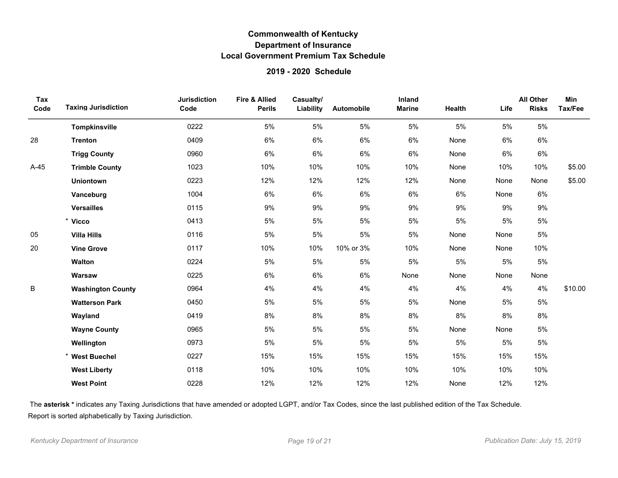### **2019 - 2020 Schedule**

| Tax<br>Code | <b>Taxing Jurisdiction</b> | <b>Jurisdiction</b><br>Code | <b>Fire &amp; Allied</b><br><b>Perils</b> | Casualty/<br>Liability | Automobile | Inland<br><b>Marine</b> | Health | Life | <b>All Other</b><br><b>Risks</b> | Min<br>Tax/Fee |
|-------------|----------------------------|-----------------------------|-------------------------------------------|------------------------|------------|-------------------------|--------|------|----------------------------------|----------------|
|             | Tompkinsville              | 0222                        | 5%                                        | 5%                     | 5%         | 5%                      | 5%     | 5%   | 5%                               |                |
| 28          | <b>Trenton</b>             | 0409                        | 6%                                        | 6%                     | 6%         | 6%                      | None   | 6%   | 6%                               |                |
|             | <b>Trigg County</b>        | 0960                        | 6%                                        | 6%                     | 6%         | 6%                      | None   | 6%   | 6%                               |                |
| $A-45$      | <b>Trimble County</b>      | 1023                        | 10%                                       | 10%                    | 10%        | 10%                     | None   | 10%  | 10%                              | \$5.00         |
|             | <b>Uniontown</b>           | 0223                        | 12%                                       | 12%                    | 12%        | 12%                     | None   | None | None                             | \$5.00         |
|             | Vanceburg                  | 1004                        | 6%                                        | 6%                     | 6%         | 6%                      | 6%     | None | 6%                               |                |
|             | <b>Versailles</b>          | 0115                        | 9%                                        | 9%                     | 9%         | 9%                      | 9%     | 9%   | 9%                               |                |
|             | * Vicco                    | 0413                        | 5%                                        | 5%                     | 5%         | 5%                      | 5%     | 5%   | 5%                               |                |
| 05          | <b>Villa Hills</b>         | 0116                        | 5%                                        | 5%                     | 5%         | 5%                      | None   | None | 5%                               |                |
| 20          | <b>Vine Grove</b>          | 0117                        | 10%                                       | 10%                    | 10% or 3%  | 10%                     | None   | None | 10%                              |                |
|             | <b>Walton</b>              | 0224                        | 5%                                        | 5%                     | 5%         | 5%                      | 5%     | 5%   | 5%                               |                |
|             | Warsaw                     | 0225                        | 6%                                        | 6%                     | 6%         | None                    | None   | None | None                             |                |
| B           | <b>Washington County</b>   | 0964                        | 4%                                        | 4%                     | 4%         | 4%                      | 4%     | 4%   | 4%                               | \$10.00        |
|             | <b>Watterson Park</b>      | 0450                        | 5%                                        | 5%                     | 5%         | 5%                      | None   | 5%   | 5%                               |                |
|             | Wayland                    | 0419                        | 8%                                        | 8%                     | 8%         | 8%                      | 8%     | 8%   | 8%                               |                |
|             | <b>Wayne County</b>        | 0965                        | 5%                                        | 5%                     | 5%         | 5%                      | None   | None | 5%                               |                |
|             | Wellington                 | 0973                        | 5%                                        | 5%                     | 5%         | 5%                      | 5%     | 5%   | 5%                               |                |
|             | * West Buechel             | 0227                        | 15%                                       | 15%                    | 15%        | 15%                     | 15%    | 15%  | 15%                              |                |
|             | <b>West Liberty</b>        | 0118                        | 10%                                       | 10%                    | 10%        | 10%                     | 10%    | 10%  | 10%                              |                |
|             | <b>West Point</b>          | 0228                        | 12%                                       | 12%                    | 12%        | 12%                     | None   | 12%  | 12%                              |                |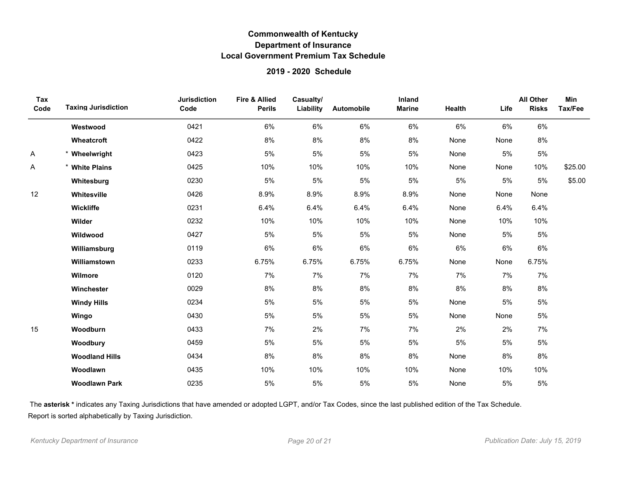### **2019 - 2020 Schedule**

| Tax<br>Code | <b>Taxing Jurisdiction</b> | <b>Jurisdiction</b><br>Code | <b>Fire &amp; Allied</b><br><b>Perils</b> | Casualty/<br>Liability | Automobile | Inland<br><b>Marine</b> | Health | Life  | <b>All Other</b><br><b>Risks</b> | Min<br>Tax/Fee |
|-------------|----------------------------|-----------------------------|-------------------------------------------|------------------------|------------|-------------------------|--------|-------|----------------------------------|----------------|
|             | Westwood                   | 0421                        | 6%                                        | 6%                     | 6%         | $6\%$                   | 6%     | 6%    | $6\%$                            |                |
|             | Wheatcroft                 | 0422                        | 8%                                        | 8%                     | 8%         | 8%                      | None   | None  | 8%                               |                |
| A           | * Wheelwright              | 0423                        | 5%                                        | 5%                     | 5%         | 5%                      | None   | 5%    | 5%                               |                |
| Α           | * White Plains             | 0425                        | 10%                                       | 10%                    | 10%        | 10%                     | None   | None  | 10%                              | \$25.00        |
|             | Whitesburg                 | 0230                        | 5%                                        | $5\%$                  | $5%$       | $5\%$                   | 5%     | $5\%$ | 5%                               | \$5.00         |
| 12          | Whitesville                | 0426                        | 8.9%                                      | 8.9%                   | 8.9%       | 8.9%                    | None   | None  | None                             |                |
|             | Wickliffe                  | 0231                        | 6.4%                                      | 6.4%                   | 6.4%       | 6.4%                    | None   | 6.4%  | 6.4%                             |                |
|             | Wilder                     | 0232                        | 10%                                       | 10%                    | 10%        | 10%                     | None   | 10%   | 10%                              |                |
|             | Wildwood                   | 0427                        | 5%                                        | 5%                     | 5%         | 5%                      | None   | 5%    | 5%                               |                |
|             | Williamsburg               | 0119                        | 6%                                        | 6%                     | 6%         | 6%                      | 6%     | 6%    | 6%                               |                |
|             | Williamstown               | 0233                        | 6.75%                                     | 6.75%                  | 6.75%      | 6.75%                   | None   | None  | 6.75%                            |                |
|             | Wilmore                    | 0120                        | 7%                                        | 7%                     | 7%         | 7%                      | 7%     | 7%    | 7%                               |                |
|             | Winchester                 | 0029                        | $8\%$                                     | 8%                     | $8\%$      | 8%                      | $8\%$  | 8%    | $8\%$                            |                |
|             | <b>Windy Hills</b>         | 0234                        | 5%                                        | $5\%$                  | 5%         | $5\%$                   | None   | $5\%$ | $5\%$                            |                |
|             | Wingo                      | 0430                        | 5%                                        | $5\%$                  | 5%         | 5%                      | None   | None  | 5%                               |                |
| 15          | Woodburn                   | 0433                        | 7%                                        | 2%                     | 7%         | 7%                      | 2%     | 2%    | 7%                               |                |
|             | Woodbury                   | 0459                        | 5%                                        | $5\%$                  | 5%         | 5%                      | 5%     | $5\%$ | 5%                               |                |
|             | <b>Woodland Hills</b>      | 0434                        | 8%                                        | 8%                     | 8%         | 8%                      | None   | 8%    | 8%                               |                |
|             | Woodlawn                   | 0435                        | 10%                                       | 10%                    | 10%        | 10%                     | None   | 10%   | 10%                              |                |
|             | <b>Woodlawn Park</b>       | 0235                        | 5%                                        | 5%                     | 5%         | 5%                      | None   | 5%    | 5%                               |                |